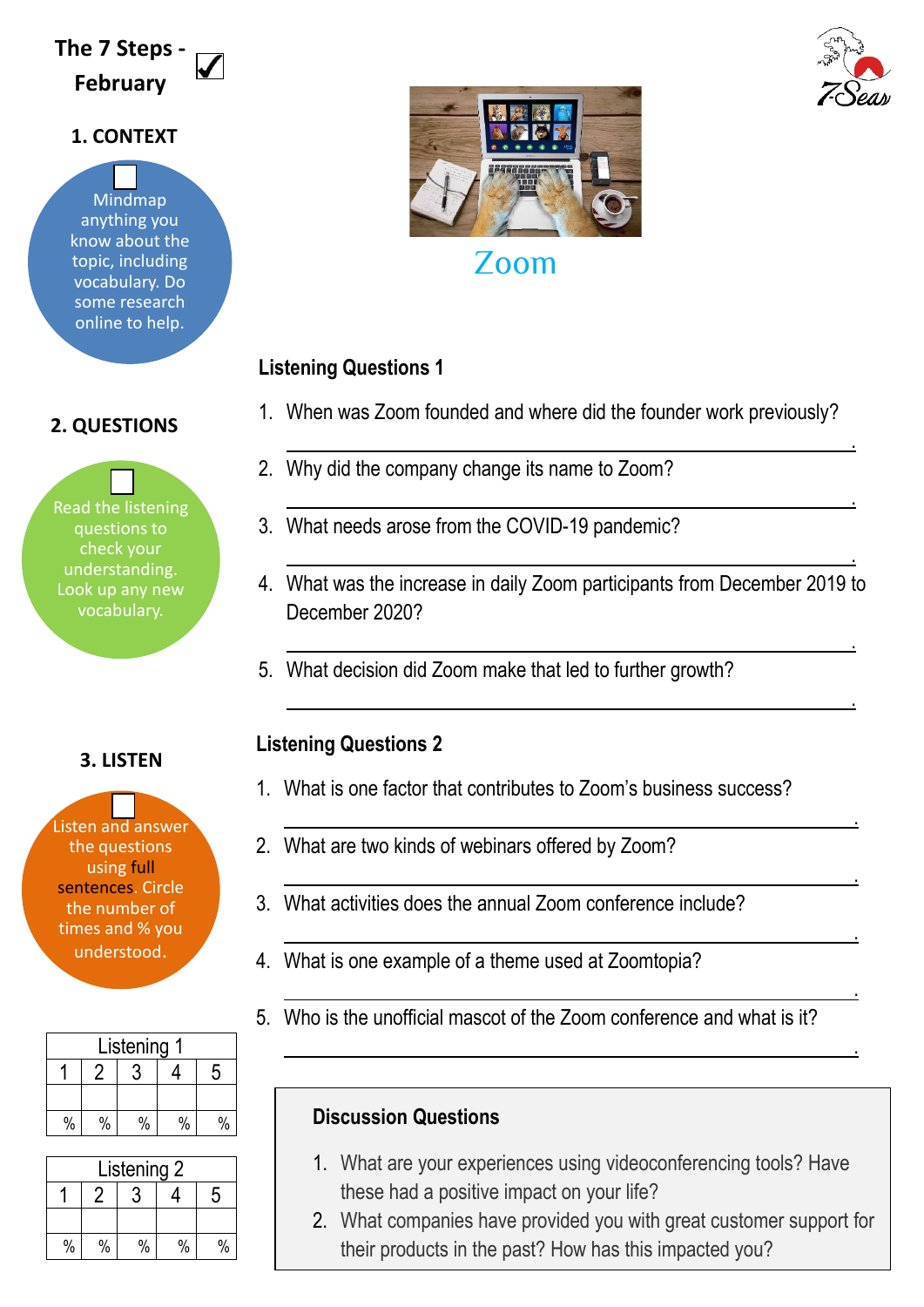# **The 7 Steps - February**

### **1. CONTEXT**

Mindmap anything you know about the topic, including vocabulary. Do some research online to help.

## **2. QUESTIONS**

Read the listening questions to check your understanding. Look up any new vocabulary.

### **3. LISTEN**

Listen and answer the questions using full sentences. Circle the number of times and % you understood.

| Listening |      |      |      |   |
|-----------|------|------|------|---|
|           |      |      |      | 5 |
|           |      |      |      |   |
| $\%$      | $\%$ | $\%$ | $\%$ |   |

| Listening 2 |      |      |      |   |
|-------------|------|------|------|---|
|             |      |      |      | 5 |
|             |      |      |      |   |
| $\%$        | $\%$ | $\%$ | $\%$ |   |



## **Listening Questions 1**

1. When was Zoom founded and where did the founder work previously?

<u>. Andre de la componentación de la componentación de la componentación de la componentación de la componentaci</u>

<u>. Andre de la contrada de la contrada de la contrada de la contrada de la contrada de la contrada de la contra</u>

<u>. Andreas and the second control of the second control of the second control of the second control of</u>

- 2. Why did the company change its name to Zoom?
- 3. What needs arose from the COVID-19 pandemic?
- 4. What was the increase in daily Zoom participants from December 2019 to December 2020?

<u>. Andreas and the second control of the second control of the second control of the second control of</u>

<u>. Andre de la contrada de la contrada de la contrada de la contrada de la contrada de la contrada de la contra</u>

<u>. Andre de la componentación de la componentación de la componentación de la componentación de la componentaci</u>

<u>. Andre van die stelling van die stelling van die stelling van die stelling van die stelling van die stelling</u>

<u>. Andre de la componentación de la componentación de la componentación de la componentación de la componentaci</u>

<u>. Andreas and the second control of the second control of the second control of the second control of</u>

<u>. Andre van die stelling van die stelling van die stelling van die stelling van die stelling van die stelling</u>

5. What decision did Zoom make that led to further growth?

## **Listening Questions 2**

- 1. What is one factor that contributes to Zoom's business success?
- 2. What are two kinds of webinars offered by Zoom?
- 3. What activities does the annual Zoom conference include?
- 4. What is one example of a theme used at Zoomtopia?
- 5. Who is the unofficial mascot of the Zoom conference and what is it?

## **Discussion Questions**

- 1. What are your experiences using videoconferencing tools? Have these had a positive impact on your life?
- 2. What companies have provided you with great customer support for their products in the past? How has this impacted you?